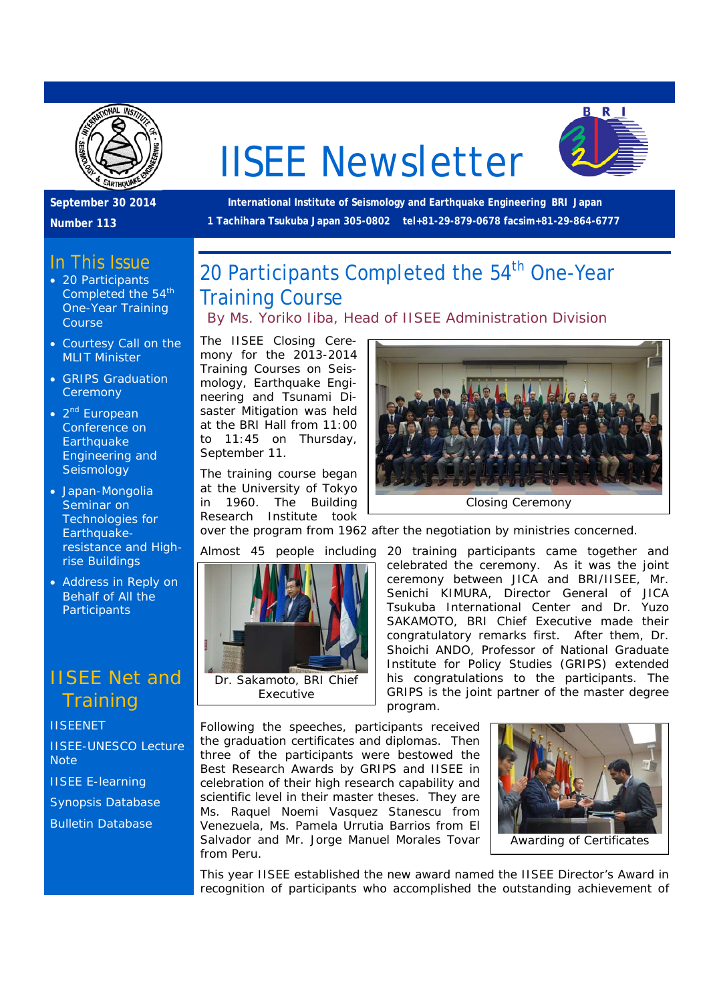

# IISEE Newsletter



**September 30 2014** 

**Number 113** 

#### In This Issue

- 20 Participants Completed the 54<sup>th</sup> One-Year Training Course
- Courtesy Call on the MLIT Minister
- GRIPS Graduation **Ceremony**
- $\bullet$  2<sup>nd</sup> European Conference on **Earthquake** Engineering and **Seismology**
- Japan-Mongolia Seminar on Technologies for Earthquakeresistance and Highrise Buildings
- Address in Reply on Behalf of All the **Participants**

### IISEE Net and **Training**

**IISEENET** 

IISEE-UNESCO Lecture **Note** 

IISEE E-learning

Synopsis Database

Bulletin Database

 **International Institute of Seismology and Earthquake Engineering BRI Japan 1 Tachihara Tsukuba Japan 305-0802 tel+81-29-879-0678 facsim+81-29-864-6777** 

### 20 Participants Completed the 54<sup>th</sup> One-Year Training Course

*By Ms. Yoriko Iiba, Head of IISEE Administration Division*

The IISEE Closing Ceremony for the 2013-2014 Training Courses on Seismology, Earthquake Engineering and Tsunami Disaster Mitigation was held at the BRI Hall from 11:00 to 11:45 on Thursday, September 11.

The training course began at the University of Tokyo in 1960. The Building Research Institute took

Dr. Sakamoto, BRI Chief Executive



over the program from 1962 after the negotiation by ministries concerned.

Almost 45 people including 20 training participants came together and celebrated the ceremony. As it was the joint ceremony between JICA and BRI/IISEE, Mr. Senichi KIMURA, Director General of JICA Tsukuba International Center and Dr. Yuzo SAKAMOTO, BRI Chief Executive made their congratulatory remarks first. After them, Dr. Shoichi ANDO, Professor of National Graduate Institute for Policy Studies (GRIPS) extended his congratulations to the participants. The GRIPS is the joint partner of the master degree program.

Following the speeches, participants received the graduation certificates and diplomas. Then three of the participants were bestowed the Best Research Awards by GRIPS and IISEE in celebration of their high research capability and scientific level in their master theses. They are Ms. Raquel Noemi Vasquez Stanescu from Venezuela, Ms. Pamela Urrutia Barrios from El Salvador and Mr. Jorge Manuel Morales Tovar from Peru.



This year IISEE established the new award named the IISEE Director's Award in recognition of participants who accomplished the outstanding achievement of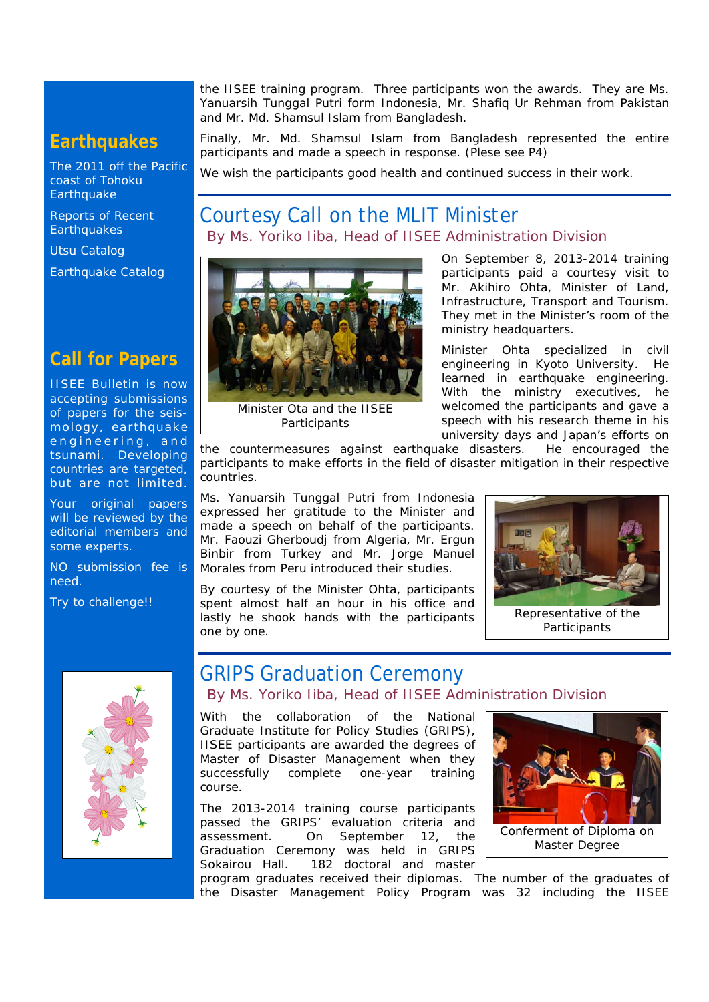**Earthquakes** 

The 2011 off the Pacific coast of Tohoku **Earthquake** 

Reports of Recent **Earthquakes** 

Utsu Catalog

Earthquake Catalog

### **Call for Papers**

IISEE Bulletin is now accepting submissions of papers for the seismology, earthquake engineering, and tsunami. Developing countries are targeted, but are not limited.

Your original papers will be reviewed by the editorial members and some experts.

NO submission fee is need.

Try to challenge!!



Finally, Mr. Md. Shamsul Islam from Bangladesh represented the entire participants and made a speech in response. (Plese see P4)

We wish the participants good health and continued success in their work.

### Courtesy Call on the MLIT Minister *By Ms. Yoriko Iiba, Head of IISEE Administration Division*



Minister Ota and the IISEE **Participants** 

On September 8, 2013-2014 training participants paid a courtesy visit to Mr. Akihiro Ohta, Minister of Land, Infrastructure, Transport and Tourism. They met in the Minister's room of the ministry headquarters.

Minister Ohta specialized in civil engineering in Kyoto University. He learned in earthquake engineering. With the ministry executives, he welcomed the participants and gave a speech with his research theme in his university days and Japan's efforts on

the countermeasures against earthquake disasters. He encouraged the participants to make efforts in the field of disaster mitigation in their respective countries.

Ms. Yanuarsih Tunggal Putri from Indonesia expressed her gratitude to the Minister and made a speech on behalf of the participants. Mr. Faouzi Gherboudj from Algeria, Mr. Ergun Binbir from Turkey and Mr. Jorge Manuel Morales from Peru introduced their studies.

By courtesy of the Minister Ohta, participants spent almost half an hour in his office and lastly he shook hands with the participants one by one.



Representative of the **Participants** 



### GRIPS Graduation Ceremony

*By Ms. Yoriko Iiba, Head of IISEE Administration Division*

With the collaboration of the National Graduate Institute for Policy Studies (GRIPS), IISEE participants are awarded the degrees of Master of Disaster Management when they successfully complete one-year training course.

The 2013-2014 training course participants passed the GRIPS' evaluation criteria and assessment. On September 12, the Graduation Ceremony was held in GRIPS Sokairou Hall. 182 doctoral and master

program graduates received their diplomas. The number of the graduates of the Disaster Management Policy Program was 32 including the IISEE

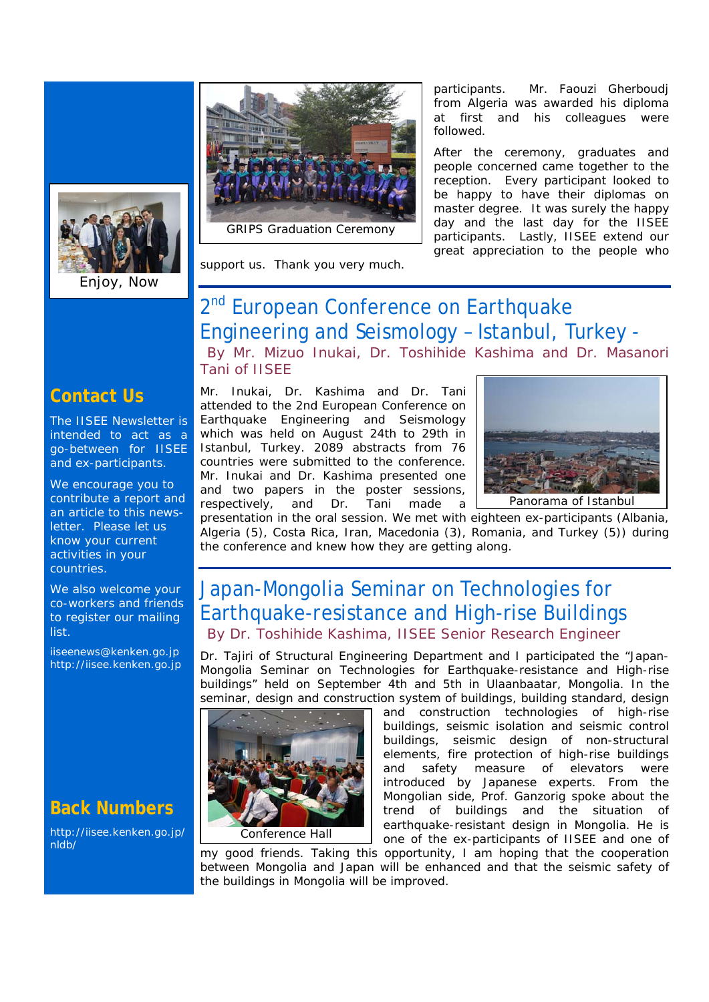

Enjoy, Now



GRIPS Graduation Ceremony

support us. Thank you very much.

participants. Mr. Faouzi Gherboudj from Algeria was awarded his diploma at first and his colleagues were followed.

After the ceremony, graduates and people concerned came together to the reception. Every participant looked to be happy to have their diplomas on master degree. It was surely the happy day and the last day for the IISEE participants. Lastly, IISEE extend our great appreciation to the people who

## 2<sup>nd</sup> European Conference on Earthquake Engineering and Seismology – Istanbul, Turkey -

*By Mr. Mizuo Inukai, Dr. Toshihide Kashima and Dr. Masanori Tani of IISEE*

### **Contact Us**

The IISEE Newsletter is intended to act as a go-between for IISEE and ex-participants.

We encourage you to contribute a report and an article to this newsletter. Please let us know your current activities in your countries.

We also welcome your co-workers and friends to register our mailing list.

iiseenews@kenken.go.jp http://iisee.kenken.go.jp

### **Back Numbers**

http://iisee.kenken.go.jp/ nldb/

Mr. Inukai, Dr. Kashima and Dr. Tani attended to the 2nd European Conference on Earthquake Engineering and Seismology which was held on August 24th to 29th in Istanbul, Turkey. 2089 abstracts from 76 countries were submitted to the conference. Mr. Inukai and Dr. Kashima presented one and two papers in the poster sessions, respectively, and Dr. Tani made a



presentation in the oral session. We met with eighteen ex-participants (Albania, Algeria (5), Costa Rica, Iran, Macedonia (3), Romania, and Turkey (5)) during the conference and knew how they are getting along.

### Japan-Mongolia Seminar on Technologies for Earthquake-resistance and High-rise Buildings *By Dr. Toshihide Kashima, IISEE Senior Research Engineer*

Dr. Tajiri of Structural Engineering Department and I participated the "Japan-Mongolia Seminar on Technologies for Earthquake-resistance and High-rise buildings" held on September 4th and 5th in Ulaanbaatar, Mongolia. In the seminar, design and construction system of buildings, building standard, design



#### Conference Hall

and construction technologies of high-rise buildings, seismic isolation and seismic control buildings, seismic design of non-structural elements, fire protection of high-rise buildings and safety measure of elevators were introduced by Japanese experts. From the Mongolian side, Prof. Ganzorig spoke about the trend of buildings and the situation of earthquake-resistant design in Mongolia. He is one of the ex-participants of IISEE and one of

my good friends. Taking this opportunity, I am hoping that the cooperation between Mongolia and Japan will be enhanced and that the seismic safety of the buildings in Mongolia will be improved.